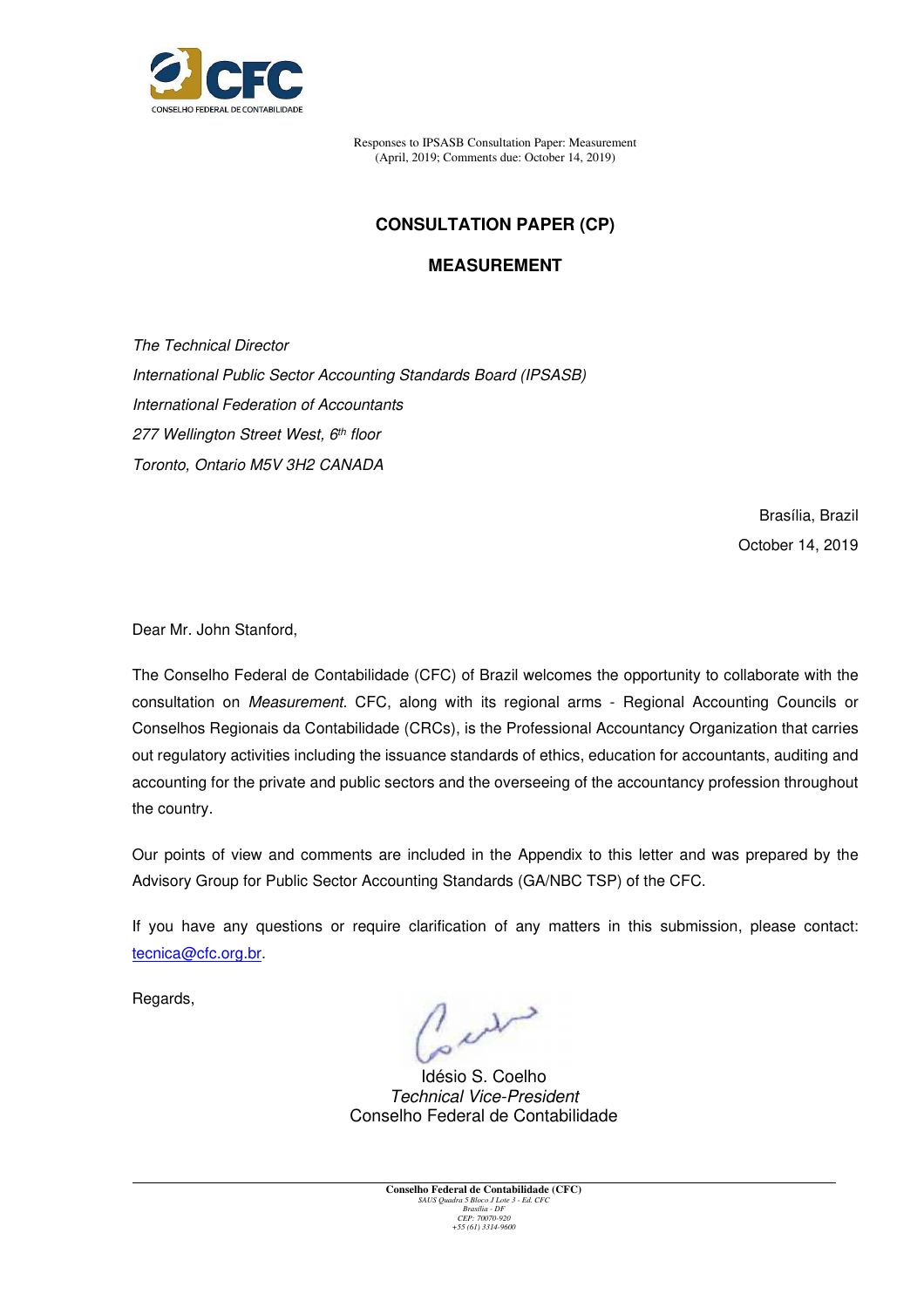

# **CONSULTATION PAPER (CP)**

## **MEASUREMENT**

The Technical Director International Public Sector Accounting Standards Board (IPSASB) International Federation of Accountants 277 Wellington Street West, 6th floor Toronto, Ontario M5V 3H2 CANADA

> Brasília, Brazil October 14, 2019

Dear Mr. John Stanford,

The Conselho Federal de Contabilidade (CFC) of Brazil welcomes the opportunity to collaborate with the consultation on Measurement. CFC, along with its regional arms - Regional Accounting Councils or Conselhos Regionais da Contabilidade (CRCs), is the Professional Accountancy Organization that carries out regulatory activities including the issuance standards of ethics, education for accountants, auditing and accounting for the private and public sectors and the overseeing of the accountancy profession throughout the country.

Our points of view and comments are included in the Appendix to this letter and was prepared by the Advisory Group for Public Sector Accounting Standards (GA/NBC TSP) of the CFC.

If you have any questions or require clarification of any matters in this submission, please contact: tecnica@cfc.org.br.

Regards,

w

Idésio S. Coelho Technical Vice-President Conselho Federal de Contabilidade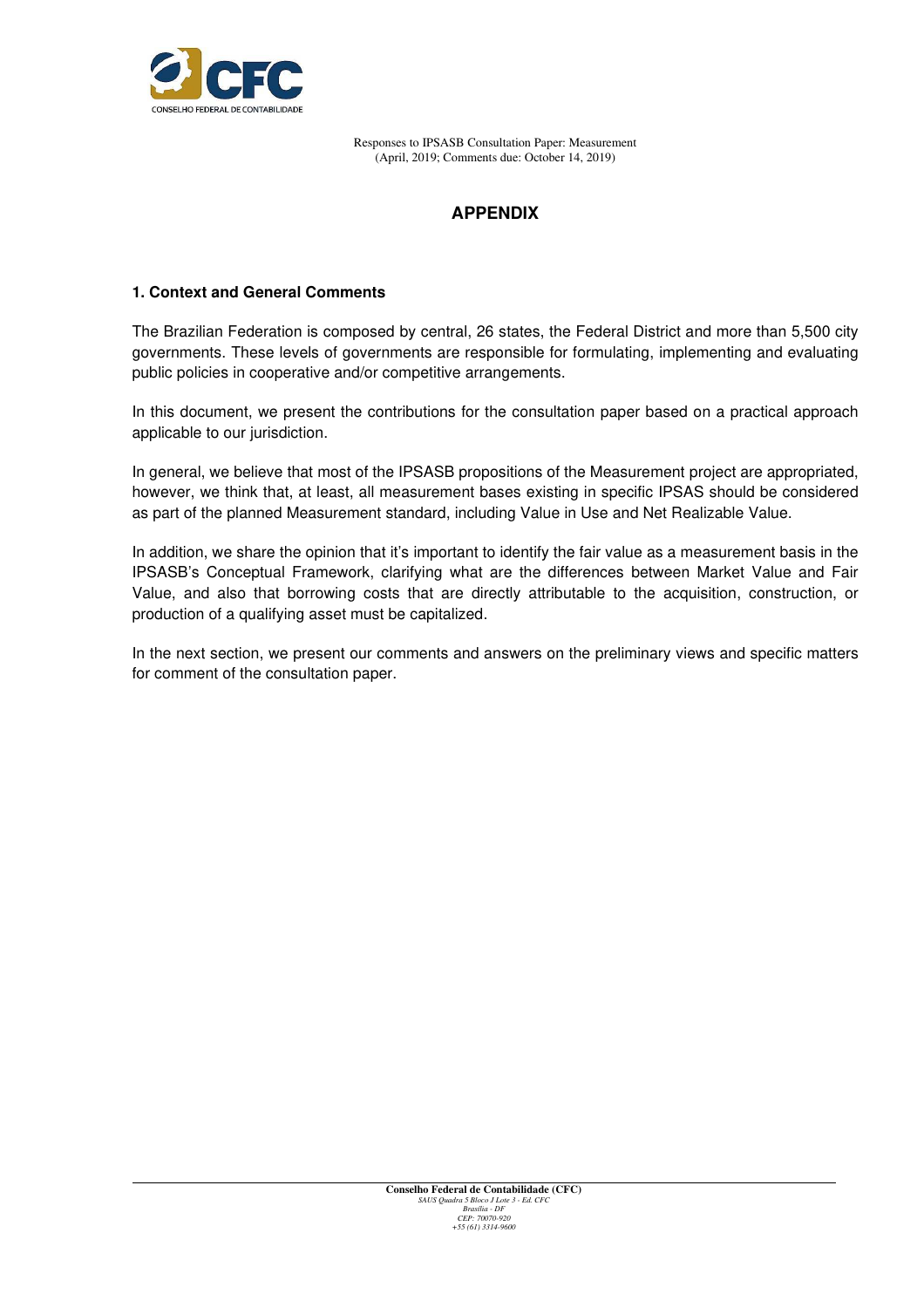

# **APPENDIX**

### **1. Context and General Comments**

The Brazilian Federation is composed by central, 26 states, the Federal District and more than 5,500 city governments. These levels of governments are responsible for formulating, implementing and evaluating public policies in cooperative and/or competitive arrangements.

In this document, we present the contributions for the consultation paper based on a practical approach applicable to our jurisdiction.

In general, we believe that most of the IPSASB propositions of the Measurement project are appropriated, however, we think that, at least, all measurement bases existing in specific IPSAS should be considered as part of the planned Measurement standard, including Value in Use and Net Realizable Value.

In addition, we share the opinion that it's important to identify the fair value as a measurement basis in the IPSASB's Conceptual Framework, clarifying what are the differences between Market Value and Fair Value, and also that borrowing costs that are directly attributable to the acquisition, construction, or production of a qualifying asset must be capitalized.

In the next section, we present our comments and answers on the preliminary views and specific matters for comment of the consultation paper.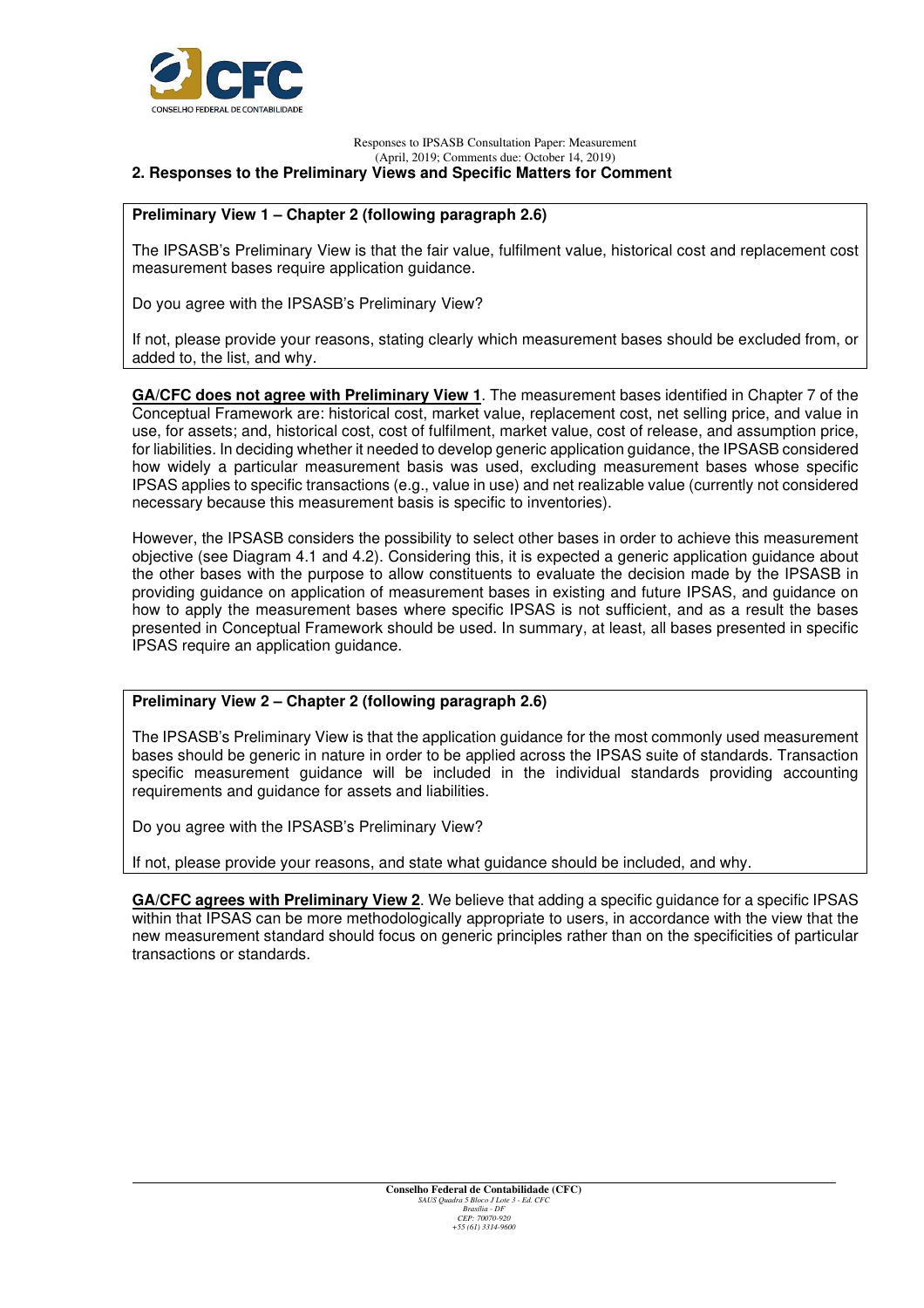

#### Responses to IPSASB Consultation Paper: Measurement (April, 2019; Comments due: October 14, 2019) **2. Responses to the Preliminary Views and Specific Matters for Comment**

### **Preliminary View 1 – Chapter 2 (following paragraph 2.6)**

The IPSASB's Preliminary View is that the fair value, fulfilment value, historical cost and replacement cost measurement bases require application guidance.

Do you agree with the IPSASB's Preliminary View?

If not, please provide your reasons, stating clearly which measurement bases should be excluded from, or added to, the list, and why.

**GA/CFC does not agree with Preliminary View 1**. The measurement bases identified in Chapter 7 of the Conceptual Framework are: historical cost, market value, replacement cost, net selling price, and value in use, for assets; and, historical cost, cost of fulfilment, market value, cost of release, and assumption price, for liabilities. In deciding whether it needed to develop generic application guidance, the IPSASB considered how widely a particular measurement basis was used, excluding measurement bases whose specific IPSAS applies to specific transactions (e.g., value in use) and net realizable value (currently not considered necessary because this measurement basis is specific to inventories).

However, the IPSASB considers the possibility to select other bases in order to achieve this measurement objective (see Diagram 4.1 and 4.2). Considering this, it is expected a generic application guidance about the other bases with the purpose to allow constituents to evaluate the decision made by the IPSASB in providing guidance on application of measurement bases in existing and future IPSAS, and guidance on how to apply the measurement bases where specific IPSAS is not sufficient, and as a result the bases presented in Conceptual Framework should be used. In summary, at least, all bases presented in specific IPSAS require an application guidance.

### **Preliminary View 2 – Chapter 2 (following paragraph 2.6)**

The IPSASB's Preliminary View is that the application guidance for the most commonly used measurement bases should be generic in nature in order to be applied across the IPSAS suite of standards. Transaction specific measurement guidance will be included in the individual standards providing accounting requirements and guidance for assets and liabilities.

Do you agree with the IPSASB's Preliminary View?

If not, please provide your reasons, and state what guidance should be included, and why.

**GA/CFC agrees with Preliminary View 2**. We believe that adding a specific guidance for a specific IPSAS within that IPSAS can be more methodologically appropriate to users, in accordance with the view that the new measurement standard should focus on generic principles rather than on the specificities of particular transactions or standards.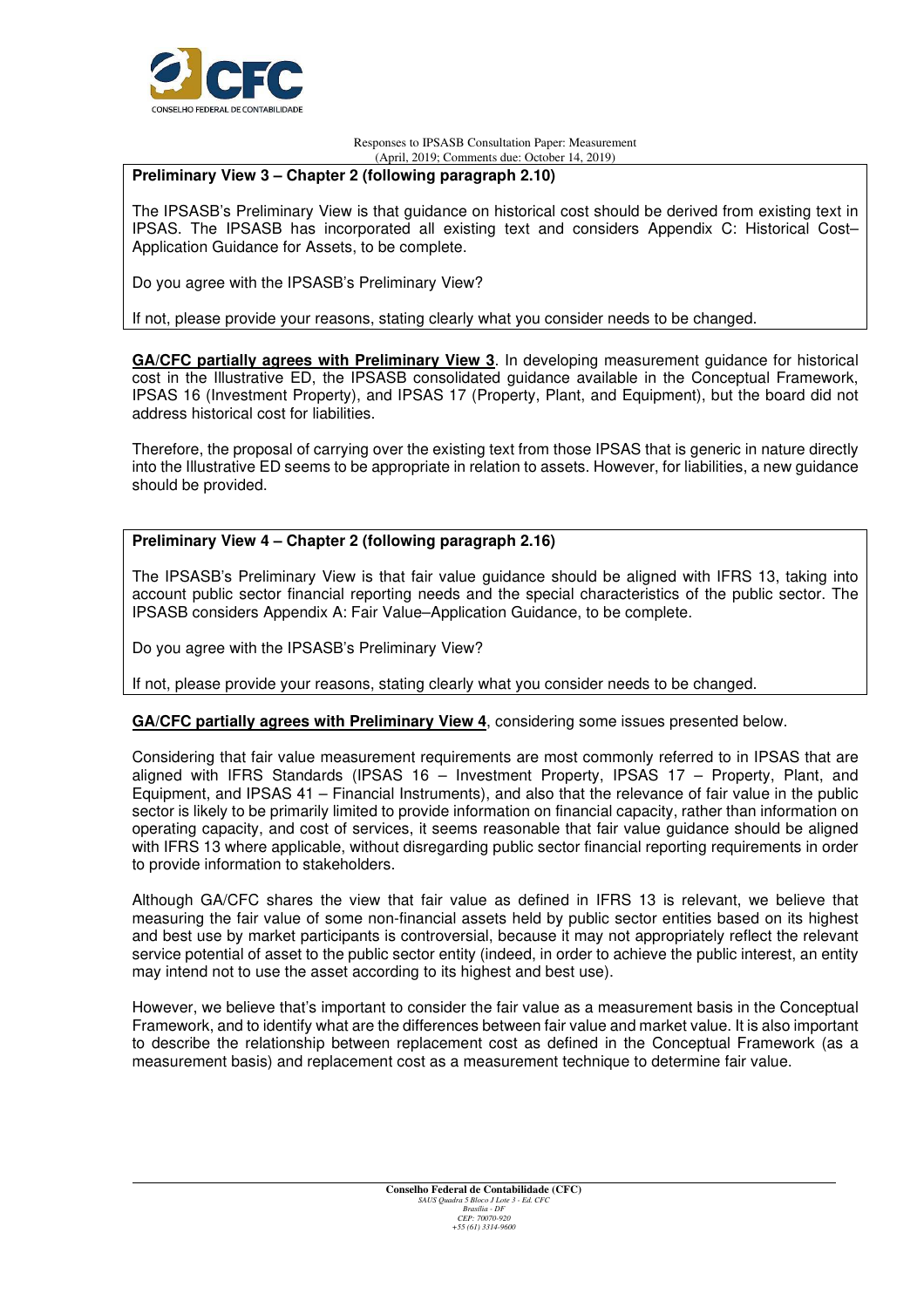

### **Preliminary View 3 – Chapter 2 (following paragraph 2.10)**

The IPSASB's Preliminary View is that guidance on historical cost should be derived from existing text in IPSAS. The IPSASB has incorporated all existing text and considers Appendix C: Historical Cost– Application Guidance for Assets, to be complete.

Do you agree with the IPSASB's Preliminary View?

If not, please provide your reasons, stating clearly what you consider needs to be changed.

**GA/CFC partially agrees with Preliminary View 3**. In developing measurement guidance for historical cost in the Illustrative ED, the IPSASB consolidated guidance available in the Conceptual Framework, IPSAS 16 (Investment Property), and IPSAS 17 (Property, Plant, and Equipment), but the board did not address historical cost for liabilities.

Therefore, the proposal of carrying over the existing text from those IPSAS that is generic in nature directly into the Illustrative ED seems to be appropriate in relation to assets. However, for liabilities, a new guidance should be provided.

### **Preliminary View 4 – Chapter 2 (following paragraph 2.16)**

The IPSASB's Preliminary View is that fair value guidance should be aligned with IFRS 13, taking into account public sector financial reporting needs and the special characteristics of the public sector. The IPSASB considers Appendix A: Fair Value–Application Guidance, to be complete.

Do you agree with the IPSASB's Preliminary View?

If not, please provide your reasons, stating clearly what you consider needs to be changed.

**GA/CFC partially agrees with Preliminary View 4**, considering some issues presented below.

Considering that fair value measurement requirements are most commonly referred to in IPSAS that are aligned with IFRS Standards (IPSAS 16 – Investment Property, IPSAS 17 – Property, Plant, and Equipment, and IPSAS 41 – Financial Instruments), and also that the relevance of fair value in the public sector is likely to be primarily limited to provide information on financial capacity, rather than information on operating capacity, and cost of services, it seems reasonable that fair value guidance should be aligned with IFRS 13 where applicable, without disregarding public sector financial reporting requirements in order to provide information to stakeholders.

Although GA/CFC shares the view that fair value as defined in IFRS 13 is relevant, we believe that measuring the fair value of some non-financial assets held by public sector entities based on its highest and best use by market participants is controversial, because it may not appropriately reflect the relevant service potential of asset to the public sector entity (indeed, in order to achieve the public interest, an entity may intend not to use the asset according to its highest and best use).

However, we believe that's important to consider the fair value as a measurement basis in the Conceptual Framework, and to identify what are the differences between fair value and market value. It is also important to describe the relationship between replacement cost as defined in the Conceptual Framework (as a measurement basis) and replacement cost as a measurement technique to determine fair value.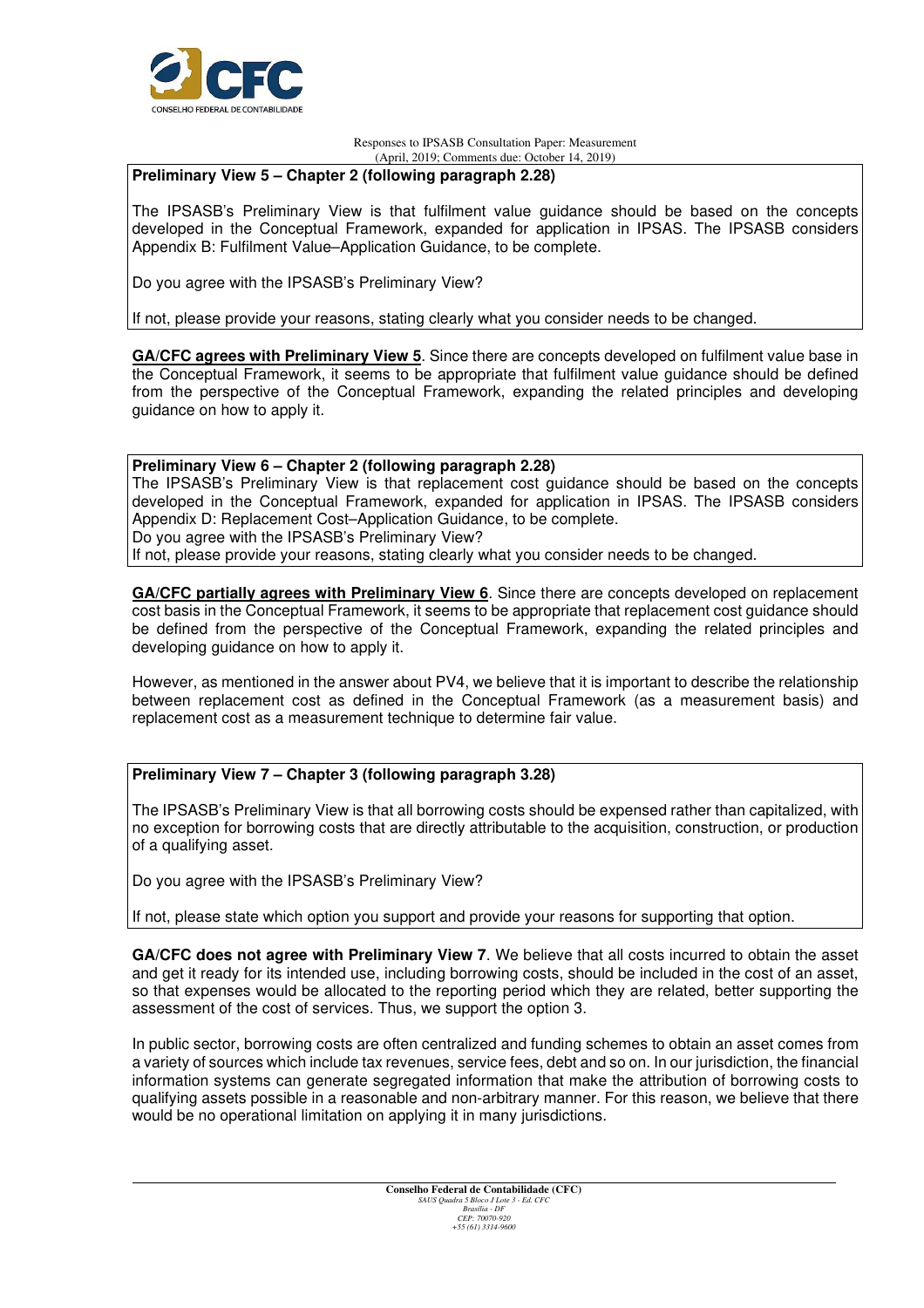

### **Preliminary View 5 – Chapter 2 (following paragraph 2.28)**

The IPSASB's Preliminary View is that fulfilment value guidance should be based on the concepts developed in the Conceptual Framework, expanded for application in IPSAS. The IPSASB considers Appendix B: Fulfilment Value–Application Guidance, to be complete.

Do you agree with the IPSASB's Preliminary View?

If not, please provide your reasons, stating clearly what you consider needs to be changed.

**GA/CFC agrees with Preliminary View 5**. Since there are concepts developed on fulfilment value base in the Conceptual Framework, it seems to be appropriate that fulfilment value guidance should be defined from the perspective of the Conceptual Framework, expanding the related principles and developing guidance on how to apply it.

### **Preliminary View 6 – Chapter 2 (following paragraph 2.28)**

The IPSASB's Preliminary View is that replacement cost guidance should be based on the concepts developed in the Conceptual Framework, expanded for application in IPSAS. The IPSASB considers Appendix D: Replacement Cost–Application Guidance, to be complete. Do you agree with the IPSASB's Preliminary View?

If not, please provide your reasons, stating clearly what you consider needs to be changed.

**GA/CFC partially agrees with Preliminary View 6**. Since there are concepts developed on replacement cost basis in the Conceptual Framework, it seems to be appropriate that replacement cost guidance should be defined from the perspective of the Conceptual Framework, expanding the related principles and developing guidance on how to apply it.

However, as mentioned in the answer about PV4, we believe that it is important to describe the relationship between replacement cost as defined in the Conceptual Framework (as a measurement basis) and replacement cost as a measurement technique to determine fair value.

### **Preliminary View 7 – Chapter 3 (following paragraph 3.28)**

The IPSASB's Preliminary View is that all borrowing costs should be expensed rather than capitalized, with no exception for borrowing costs that are directly attributable to the acquisition, construction, or production of a qualifying asset.

Do you agree with the IPSASB's Preliminary View?

If not, please state which option you support and provide your reasons for supporting that option.

**GA/CFC does not agree with Preliminary View 7**. We believe that all costs incurred to obtain the asset and get it ready for its intended use, including borrowing costs, should be included in the cost of an asset, so that expenses would be allocated to the reporting period which they are related, better supporting the assessment of the cost of services. Thus, we support the option 3.

In public sector, borrowing costs are often centralized and funding schemes to obtain an asset comes from a variety of sources which include tax revenues, service fees, debt and so on. In our jurisdiction, the financial information systems can generate segregated information that make the attribution of borrowing costs to qualifying assets possible in a reasonable and non-arbitrary manner. For this reason, we believe that there would be no operational limitation on applying it in many jurisdictions.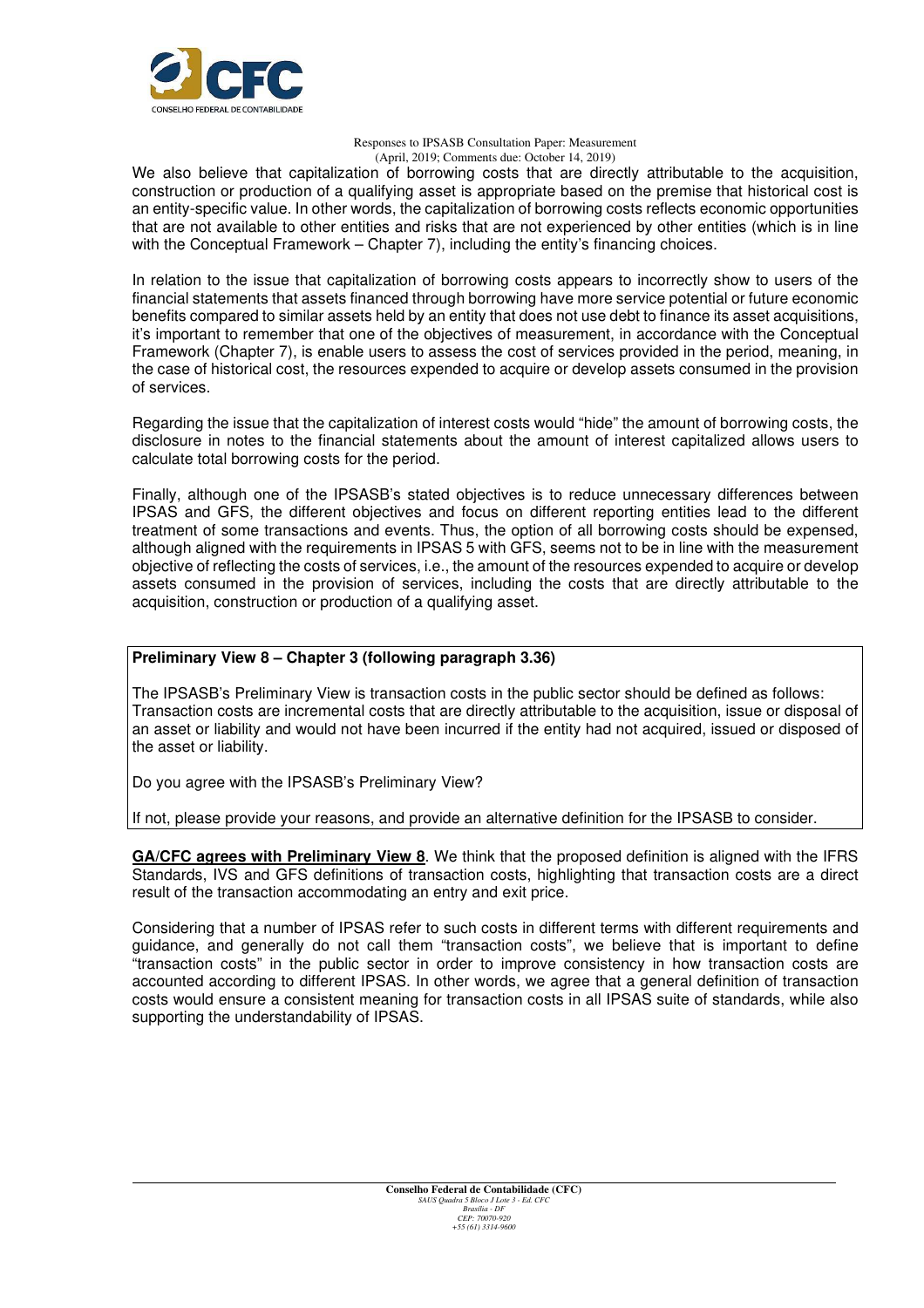

We also believe that capitalization of borrowing costs that are directly attributable to the acquisition, construction or production of a qualifying asset is appropriate based on the premise that historical cost is an entity-specific value. In other words, the capitalization of borrowing costs reflects economic opportunities that are not available to other entities and risks that are not experienced by other entities (which is in line with the Conceptual Framework – Chapter 7), including the entity's financing choices.

In relation to the issue that capitalization of borrowing costs appears to incorrectly show to users of the financial statements that assets financed through borrowing have more service potential or future economic benefits compared to similar assets held by an entity that does not use debt to finance its asset acquisitions, it's important to remember that one of the objectives of measurement, in accordance with the Conceptual Framework (Chapter 7), is enable users to assess the cost of services provided in the period, meaning, in the case of historical cost, the resources expended to acquire or develop assets consumed in the provision of services.

Regarding the issue that the capitalization of interest costs would "hide" the amount of borrowing costs, the disclosure in notes to the financial statements about the amount of interest capitalized allows users to calculate total borrowing costs for the period.

Finally, although one of the IPSASB's stated objectives is to reduce unnecessary differences between IPSAS and GFS, the different objectives and focus on different reporting entities lead to the different treatment of some transactions and events. Thus, the option of all borrowing costs should be expensed, although aligned with the requirements in IPSAS 5 with GFS, seems not to be in line with the measurement objective of reflecting the costs of services, i.e., the amount of the resources expended to acquire or develop assets consumed in the provision of services, including the costs that are directly attributable to the acquisition, construction or production of a qualifying asset.

### **Preliminary View 8 – Chapter 3 (following paragraph 3.36)**

The IPSASB's Preliminary View is transaction costs in the public sector should be defined as follows: Transaction costs are incremental costs that are directly attributable to the acquisition, issue or disposal of an asset or liability and would not have been incurred if the entity had not acquired, issued or disposed of the asset or liability.

Do you agree with the IPSASB's Preliminary View?

If not, please provide your reasons, and provide an alternative definition for the IPSASB to consider.

**GA/CFC agrees with Preliminary View 8**. We think that the proposed definition is aligned with the IFRS Standards, IVS and GFS definitions of transaction costs, highlighting that transaction costs are a direct result of the transaction accommodating an entry and exit price.

Considering that a number of IPSAS refer to such costs in different terms with different requirements and guidance, and generally do not call them "transaction costs", we believe that is important to define "transaction costs" in the public sector in order to improve consistency in how transaction costs are accounted according to different IPSAS. In other words, we agree that a general definition of transaction costs would ensure a consistent meaning for transaction costs in all IPSAS suite of standards, while also supporting the understandability of IPSAS.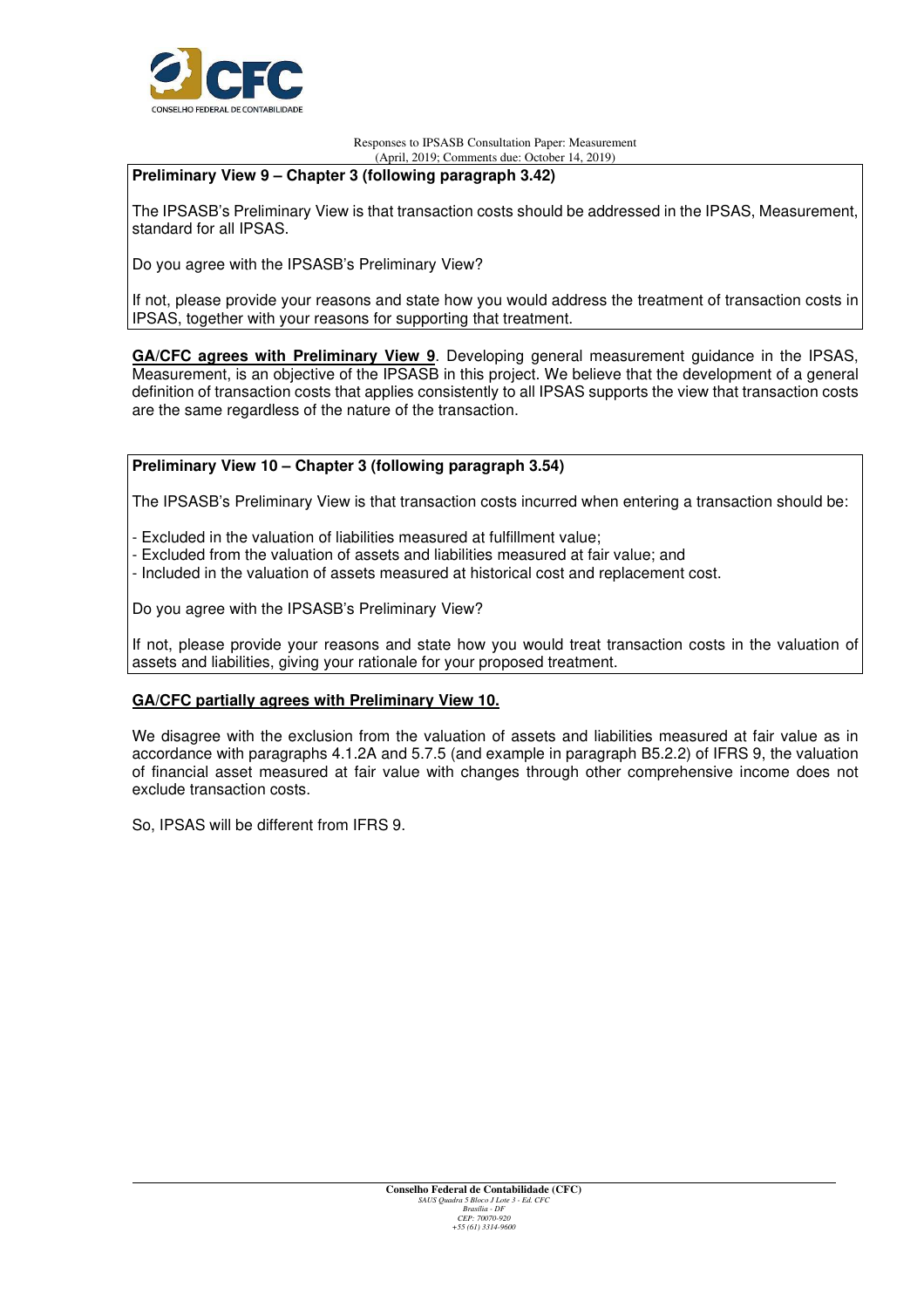

### **Preliminary View 9 – Chapter 3 (following paragraph 3.42)**

The IPSASB's Preliminary View is that transaction costs should be addressed in the IPSAS, Measurement, standard for all IPSAS.

Do you agree with the IPSASB's Preliminary View?

If not, please provide your reasons and state how you would address the treatment of transaction costs in IPSAS, together with your reasons for supporting that treatment.

**GA/CFC agrees with Preliminary View 9**. Developing general measurement guidance in the IPSAS, Measurement, is an objective of the IPSASB in this project. We believe that the development of a general definition of transaction costs that applies consistently to all IPSAS supports the view that transaction costs are the same regardless of the nature of the transaction.

### **Preliminary View 10 – Chapter 3 (following paragraph 3.54)**

The IPSASB's Preliminary View is that transaction costs incurred when entering a transaction should be:

- Excluded in the valuation of liabilities measured at fulfillment value;
- Excluded from the valuation of assets and liabilities measured at fair value; and
- Included in the valuation of assets measured at historical cost and replacement cost.

Do you agree with the IPSASB's Preliminary View?

If not, please provide your reasons and state how you would treat transaction costs in the valuation of assets and liabilities, giving your rationale for your proposed treatment.

### **GA/CFC partially agrees with Preliminary View 10.**

We disagree with the exclusion from the valuation of assets and liabilities measured at fair value as in accordance with paragraphs 4.1.2A and 5.7.5 (and example in paragraph B5.2.2) of IFRS 9, the valuation of financial asset measured at fair value with changes through other comprehensive income does not exclude transaction costs.

So, IPSAS will be different from IFRS 9.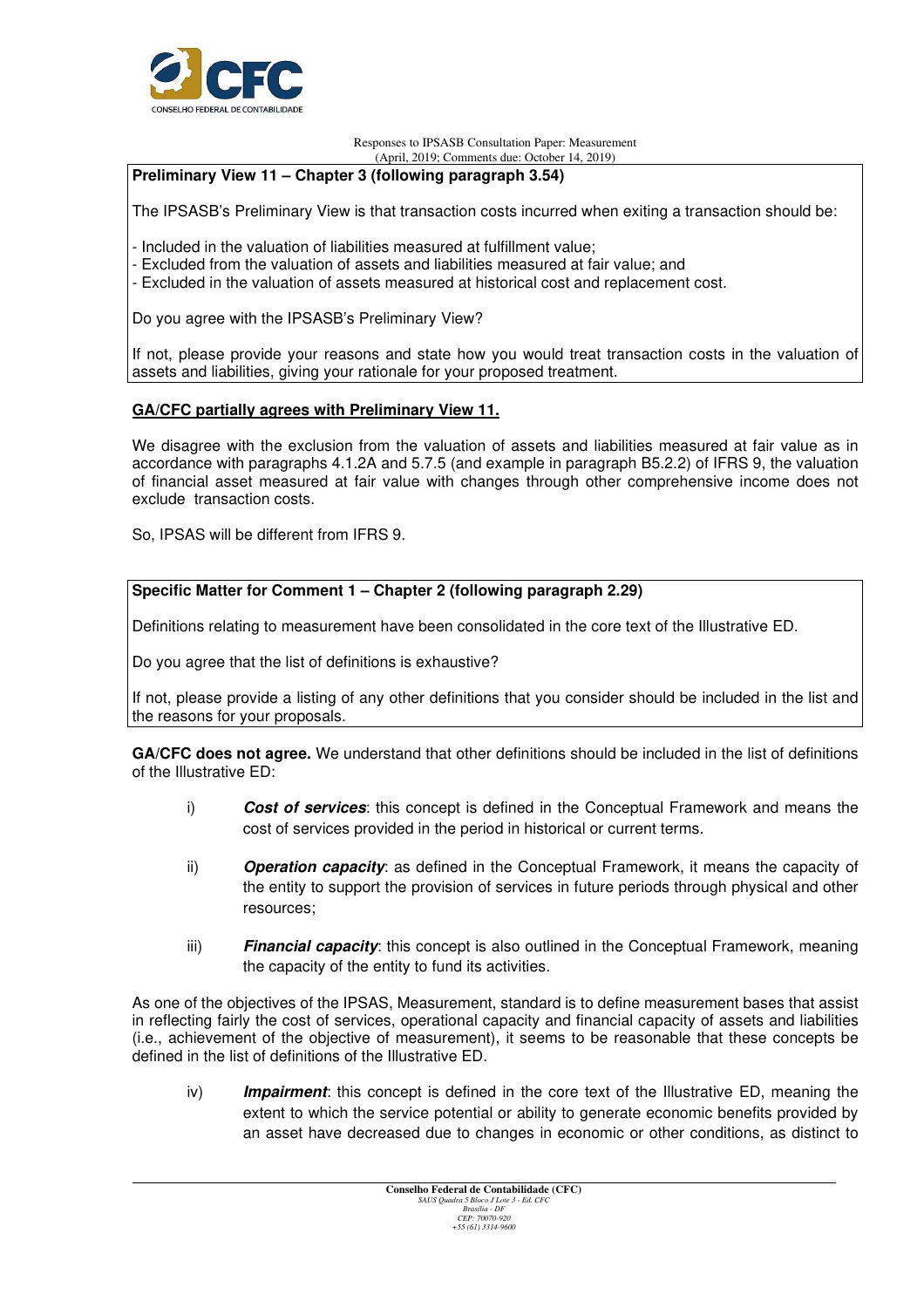

### **Preliminary View 11 – Chapter 3 (following paragraph 3.54)**

The IPSASB's Preliminary View is that transaction costs incurred when exiting a transaction should be:

- Included in the valuation of liabilities measured at fulfillment value;
- Excluded from the valuation of assets and liabilities measured at fair value; and
- Excluded in the valuation of assets measured at historical cost and replacement cost.

Do you agree with the IPSASB's Preliminary View?

If not, please provide your reasons and state how you would treat transaction costs in the valuation of assets and liabilities, giving your rationale for your proposed treatment.

#### **GA/CFC partially agrees with Preliminary View 11.**

We disagree with the exclusion from the valuation of assets and liabilities measured at fair value as in accordance with paragraphs 4.1.2A and 5.7.5 (and example in paragraph B5.2.2) of IFRS 9, the valuation of financial asset measured at fair value with changes through other comprehensive income does not exclude transaction costs.

So, IPSAS will be different from IFRS 9.

#### **Specific Matter for Comment 1 – Chapter 2 (following paragraph 2.29)**

Definitions relating to measurement have been consolidated in the core text of the Illustrative ED.

Do you agree that the list of definitions is exhaustive?

If not, please provide a listing of any other definitions that you consider should be included in the list and the reasons for your proposals.

**GA/CFC does not agree.** We understand that other definitions should be included in the list of definitions of the Illustrative ED:

- i) **Cost of services**: this concept is defined in the Conceptual Framework and means the cost of services provided in the period in historical or current terms.
- ii) **Operation capacity**: as defined in the Conceptual Framework, it means the capacity of the entity to support the provision of services in future periods through physical and other resources;
- iii) **Financial capacity**: this concept is also outlined in the Conceptual Framework, meaning the capacity of the entity to fund its activities.

As one of the objectives of the IPSAS, Measurement, standard is to define measurement bases that assist in reflecting fairly the cost of services, operational capacity and financial capacity of assets and liabilities (i.e., achievement of the objective of measurement), it seems to be reasonable that these concepts be defined in the list of definitions of the Illustrative ED.

iv) **Impairment**: this concept is defined in the core text of the Illustrative ED, meaning the extent to which the service potential or ability to generate economic benefits provided by an asset have decreased due to changes in economic or other conditions, as distinct to